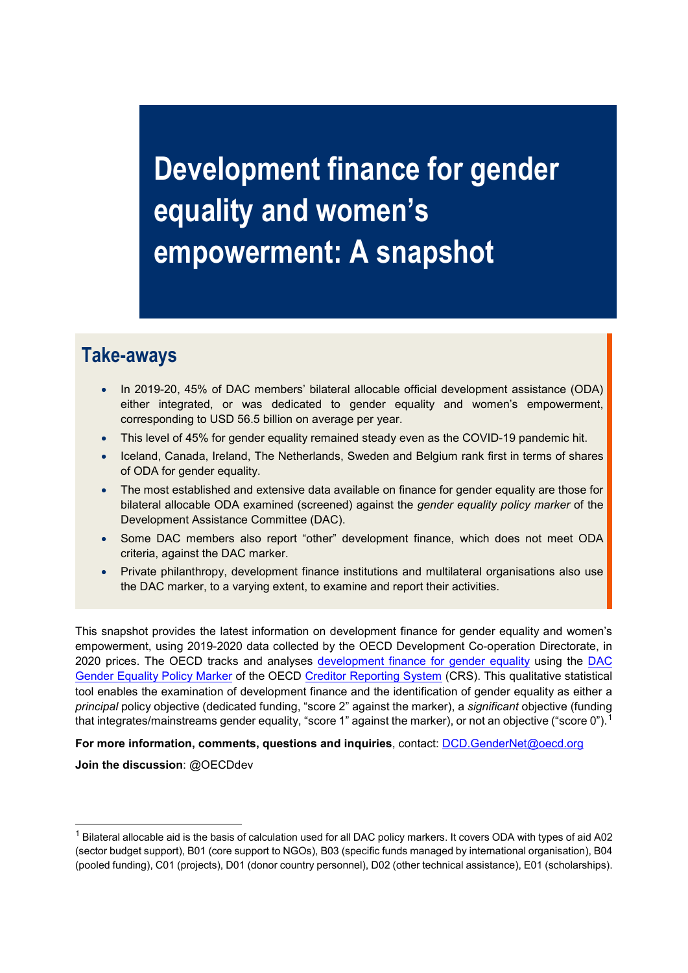**Development finance for gender equality and women's empowerment: A snapshot**

## **Take-aways**

- In 2019-20, 45% of DAC members' bilateral allocable official development assistance (ODA) either integrated, or was dedicated to gender equality and women's empowerment, corresponding to USD 56.5 billion on average per year.
- This level of 45% for gender equality remained steady even as the COVID-19 pandemic hit.
- Iceland, Canada, Ireland, The Netherlands, Sweden and Belgium rank first in terms of shares of ODA for gender equality.
- The most established and extensive data available on finance for gender equality are those for bilateral allocable ODA examined (screened) against the *gender equality policy marker* of the Development Assistance Committee (DAC).
- Some DAC members also report "other" development finance, which does not meet ODA criteria, against the DAC marker.
- Private philanthropy, development finance institutions and multilateral organisations also use the DAC marker, to a varying extent, to examine and report their activities.

This snapshot provides the latest information on development finance for gender equality and women's empowerment, using 2019-2020 data collected by the OECD Development Co-operation Directorate, in 2020 prices. The OECD tracks and analyses [development finance for gender equality](https://www.oecd.org/dac/financing-sustainable-development/development-finance-topics/development-finance-for-gender-equality-and-women-s-empowerment.htm) using the [DAC](https://www.oecd.org/dac/gender-development/dac-gender-equality-marker.htm#:%7E:text=The%20DAC%20gender%20equality%20policy,policy%20commitments%20and%20financial%20commitments.)  [Gender Equality Policy Marker](https://www.oecd.org/dac/gender-development/dac-gender-equality-marker.htm#:%7E:text=The%20DAC%20gender%20equality%20policy,policy%20commitments%20and%20financial%20commitments.) of the OECD [Creditor Reporting System](https://stats.oecd.org/Index.aspx?DataSetCode=crs1) (CRS). This qualitative statistical tool enables the examination of development finance and the identification of gender equality as either a *principal* policy objective (dedicated funding, "score 2" against the marker), a *significant* objective (funding that integrates/mainstreams gender equality, "score [1](#page-0-0)" against the marker), or not an objective ("score 0").  $^{\rm 1}$ 

**For more information, comments, questions and inquiries**, contact: [DCD.GenderNet@oecd.org](mailto:DCD.GenderNet@oecd.org) 

**Join the discussion**: @OECDdev

 $\overline{a}$ 

<span id="page-0-0"></span> $^1$  Bilateral allocable aid is the basis of calculation used for all DAC policy markers. It covers ODA with types of aid A02 (sector budget support), B01 (core support to NGOs), B03 (specific funds managed by international organisation), B04 (pooled funding), C01 (projects), D01 (donor country personnel), D02 (other technical assistance), E01 (scholarships).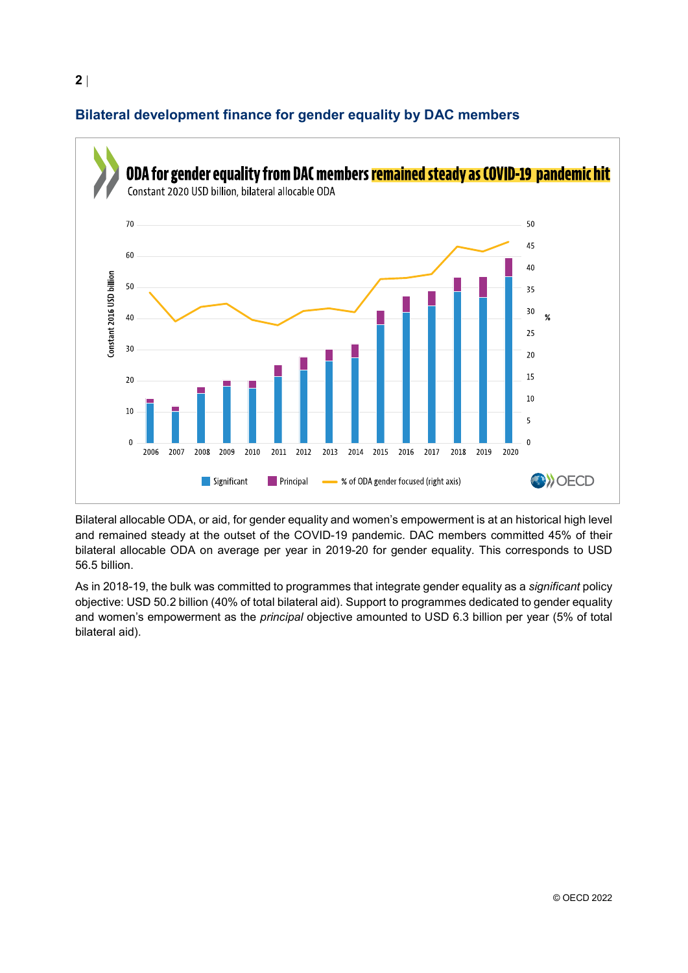

## **Bilateral development finance for gender equality by DAC members**

Bilateral allocable ODA, or aid, for gender equality and women's empowerment is at an historical high level and remained steady at the outset of the COVID-19 pandemic. DAC members committed 45% of their bilateral allocable ODA on average per year in 2019-20 for gender equality. This corresponds to USD 56.5 billion.

As in 2018-19, the bulk was committed to programmes that integrate gender equality as a *significant* policy objective: USD 50.2 billion (40% of total bilateral aid). Support to programmes dedicated to gender equality and women's empowerment as the *principal* objective amounted to USD 6.3 billion per year (5% of total bilateral aid).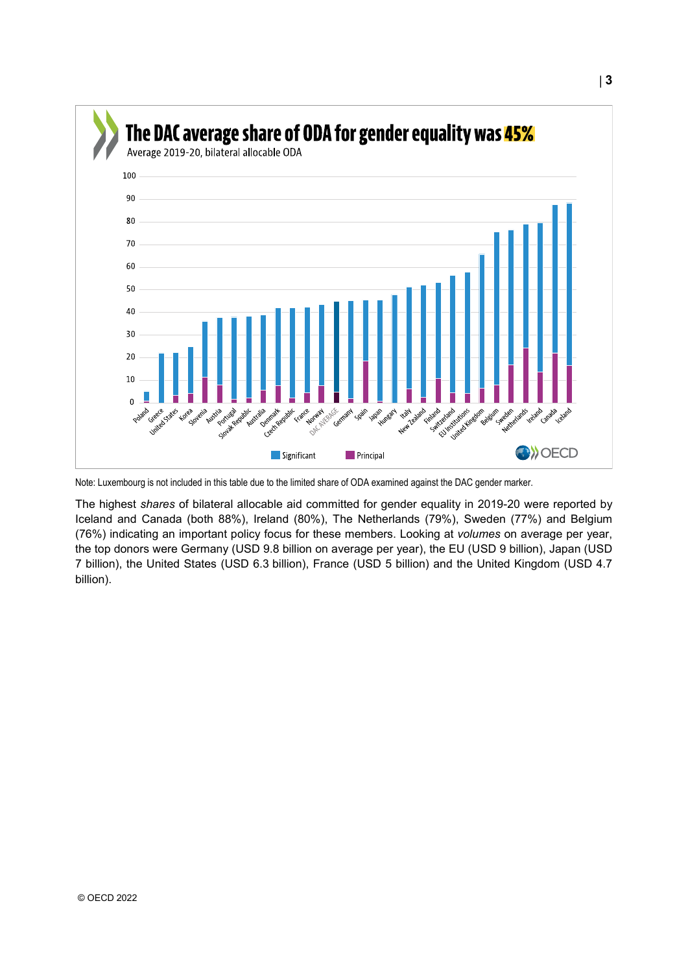

Note: Luxembourg is not included in this table due to the limited share of ODA examined against the DAC gender marker.

The highest *shares* of bilateral allocable aid committed for gender equality in 2019-20 were reported by Iceland and Canada (both 88%), Ireland (80%), The Netherlands (79%), Sweden (77%) and Belgium (76%) indicating an important policy focus for these members. Looking at *volumes* on average per year, the top donors were Germany (USD 9.8 billion on average per year), the EU (USD 9 billion), Japan (USD 7 billion), the United States (USD 6.3 billion), France (USD 5 billion) and the United Kingdom (USD 4.7 billion).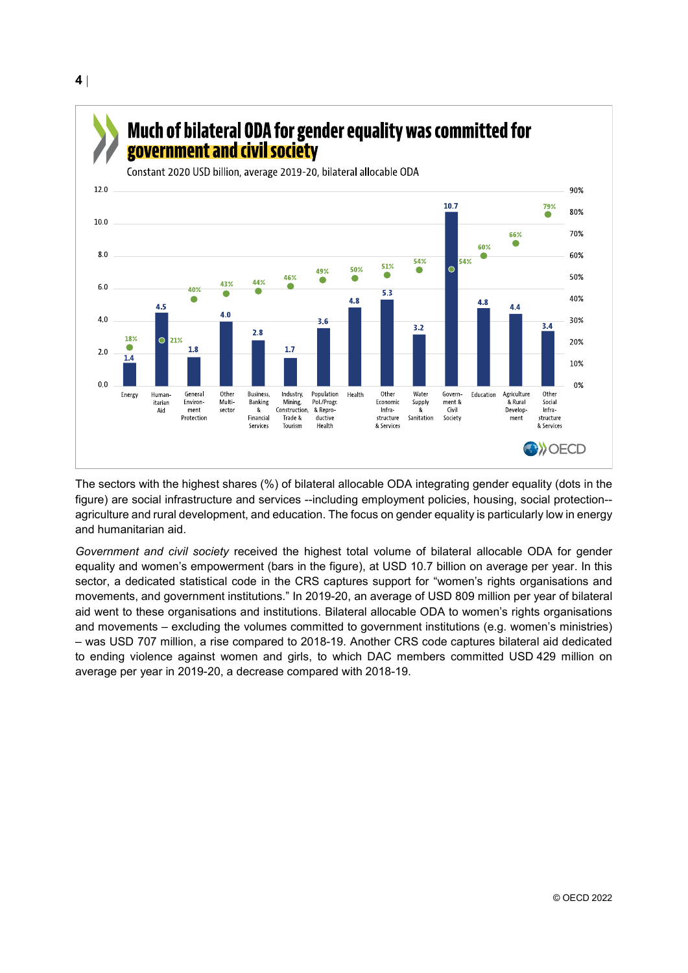# Much of bilateral ODA for gender equality was committed for government and civil society

Constant 2020 USD billion, average 2019-20, bilateral allocable ODA



The sectors with the highest shares (%) of bilateral allocable ODA integrating gender equality (dots in the figure) are social infrastructure and services --including employment policies, housing, social protection- agriculture and rural development, and education. The focus on gender equality is particularly low in energy and humanitarian aid.

*Government and civil society* received the highest total volume of bilateral allocable ODA for gender equality and women's empowerment (bars in the figure), at USD 10.7 billion on average per year. In this sector, a dedicated statistical code in the CRS captures support for "women's rights organisations and movements, and government institutions." In 2019-20, an average of USD 809 million per year of bilateral aid went to these organisations and institutions. Bilateral allocable ODA to women's rights organisations and movements – excluding the volumes committed to government institutions (e.g. women's ministries) – was USD 707 million, a rise compared to 2018-19. Another CRS code captures bilateral aid dedicated to ending violence against women and girls, to which DAC members committed USD 429 million on average per year in 2019-20, a decrease compared with 2018-19.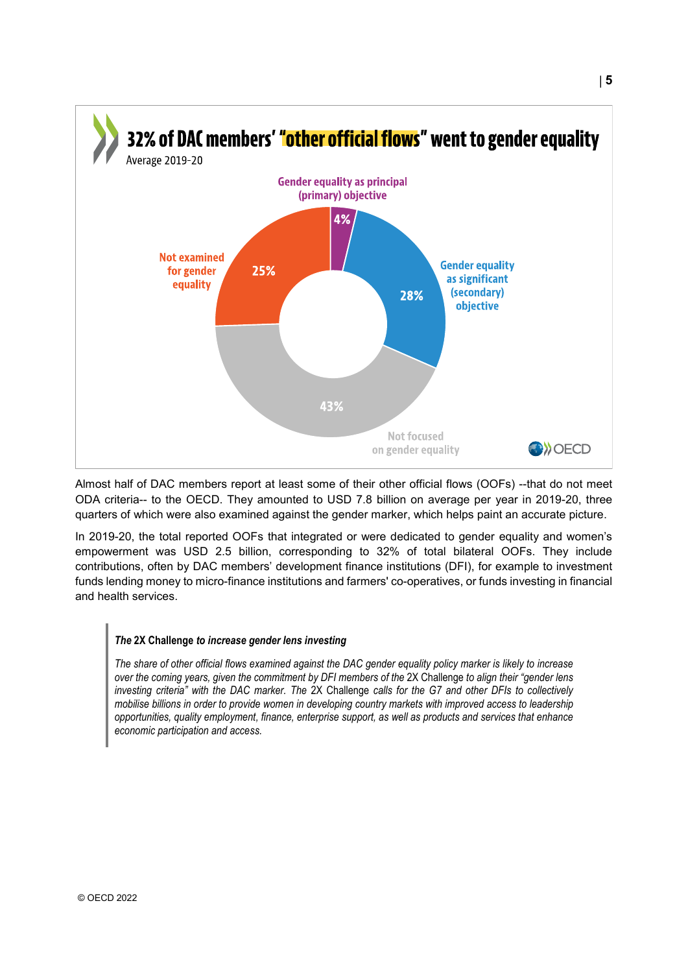

Almost half of DAC members report at least some of their other official flows (OOFs) --that do not meet ODA criteria-- to the OECD. They amounted to USD 7.8 billion on average per year in 2019-20, three quarters of which were also examined against the gender marker, which helps paint an accurate picture.

In 2019-20, the total reported OOFs that integrated or were dedicated to gender equality and women's empowerment was USD 2.5 billion, corresponding to 32% of total bilateral OOFs. They include contributions, often by DAC members' development finance institutions (DFI), for example to investment funds lending money to micro-finance institutions and farmers' co-operatives, or funds investing in financial and health services.

#### *The* **2X Challenge** *to increase gender lens investing*

*The share of other official flows examined against the DAC gender equality policy marker is likely to increase over the coming years, given the commitment by DFI members of the* 2X Challenge *to align their "gender lens investing criteria" with the DAC marker. The* 2X Challenge *calls for the G7 and other DFIs to collectively mobilise billions in order to provide women in developing country markets with improved access to leadership opportunities, quality employment, finance, enterprise support, as well as products and services that enhance economic participation and access.*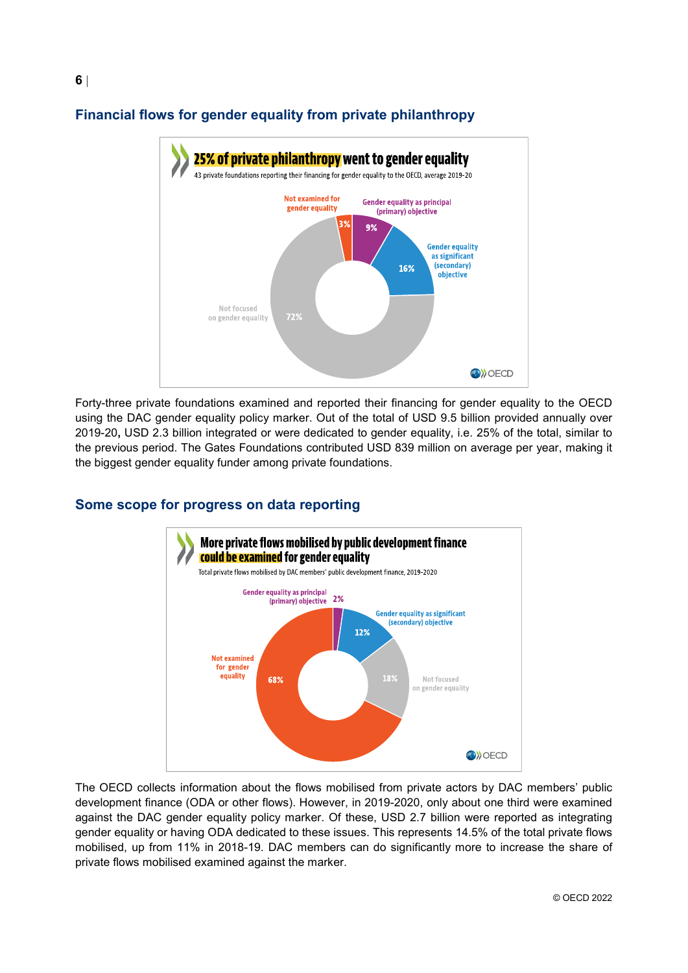![](_page_5_Figure_0.jpeg)

### **Financial flows for gender equality from private philanthropy**

Forty-three private foundations examined and reported their financing for gender equality to the OECD using the DAC gender equality policy marker. Out of the total of USD 9.5 billion provided annually over 2019-20**,** USD 2.3 billion integrated or were dedicated to gender equality, i.e. 25% of the total, similar to the previous period. The Gates Foundations contributed USD 839 million on average per year, making it the biggest gender equality funder among private foundations.

### More private flows mobilised by public development finance **could be examined** for gender equality Total private flows mobilised by DAC members' public development finance, 2019-2020 **Gender equality as principal**  $2%$ (primary) objective **Gender equality as significant** (secondary) objective 12% **Not examined** for gender equality 18% 68% Not focused on gender equality **O**>OECD

### **Some scope for progress on data reporting**

The OECD collects information about the flows mobilised from private actors by DAC members' public development finance (ODA or other flows). However, in 2019-2020, only about one third were examined against the DAC gender equality policy marker. Of these, USD 2.7 billion were reported as integrating gender equality or having ODA dedicated to these issues. This represents 14.5% of the total private flows mobilised, up from 11% in 2018-19. DAC members can do significantly more to increase the share of private flows mobilised examined against the marker.